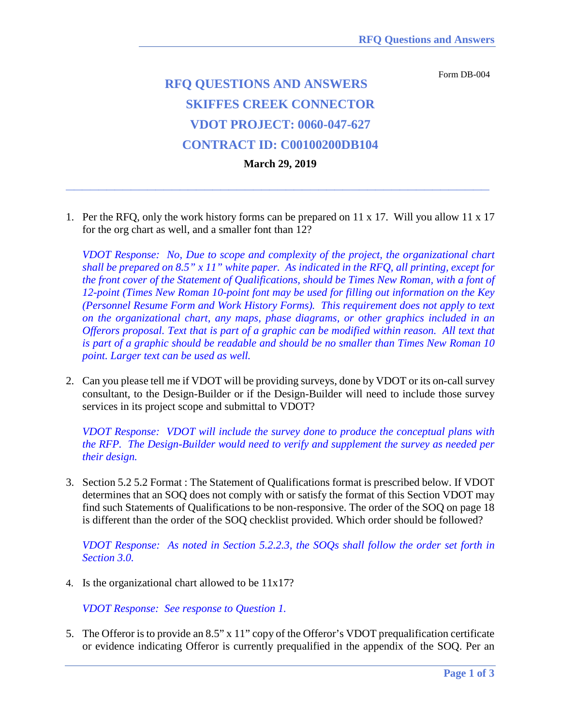Form DB-004

## **RFQ QUESTIONS AND ANSWERS SKIFFES CREEK CONNECTOR VDOT PROJECT: 0060-047-627 CONTRACT ID: C00100200DB104**

**March 29, 2019**

**\_\_\_\_\_\_\_\_\_\_\_\_\_\_\_\_\_\_\_\_\_\_\_\_\_\_\_\_\_\_\_\_\_\_\_\_\_\_\_\_\_\_\_\_\_\_\_\_\_\_\_\_**

1. Per the RFQ, only the work history forms can be prepared on 11 x 17. Will you allow 11 x 17 for the org chart as well, and a smaller font than 12?

*VDOT Response: No, Due to scope and complexity of the project, the organizational chart shall be prepared on 8.5" x 11" white paper. As indicated in the RFQ, all printing, except for the front cover of the Statement of Qualifications, should be Times New Roman, with a font of 12-point (Times New Roman 10-point font may be used for filling out information on the Key (Personnel Resume Form and Work History Forms). This requirement does not apply to text on the organizational chart, any maps, phase diagrams, or other graphics included in an Offerors proposal. Text that is part of a graphic can be modified within reason. All text that is part of a graphic should be readable and should be no smaller than Times New Roman 10 point. Larger text can be used as well.*

2. Can you please tell me if VDOT will be providing surveys, done by VDOT or its on-call survey consultant, to the Design-Builder or if the Design-Builder will need to include those survey services in its project scope and submittal to VDOT?

*VDOT Response: VDOT will include the survey done to produce the conceptual plans with the RFP. The Design-Builder would need to verify and supplement the survey as needed per their design.*

3. Section 5.2 5.2 Format : The Statement of Qualifications format is prescribed below. If VDOT determines that an SOQ does not comply with or satisfy the format of this Section VDOT may find such Statements of Qualifications to be non-responsive. The order of the SOQ on page 18 is different than the order of the SOQ checklist provided. Which order should be followed?

*VDOT Response: As noted in Section 5.2.2.3, the SOQs shall follow the order set forth in Section 3.0.*

4. Is the organizational chart allowed to be 11x17?

*VDOT Response: See response to Question 1.*

5. The Offeror is to provide an 8.5" x 11" copy of the Offeror's VDOT prequalification certificate or evidence indicating Offeror is currently prequalified in the appendix of the SOQ. Per an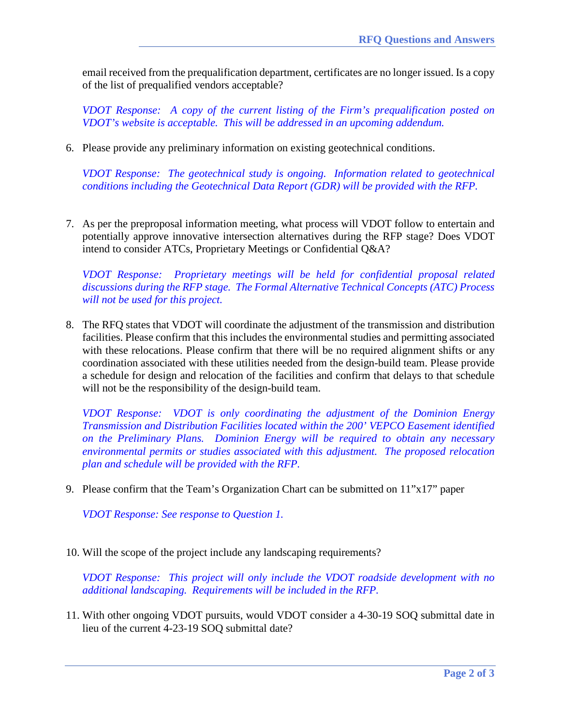email received from the prequalification department, certificates are no longer issued. Is a copy of the list of prequalified vendors acceptable?

*VDOT Response: A copy of the current listing of the Firm's prequalification posted on VDOT's website is acceptable. This will be addressed in an upcoming addendum.*

6. Please provide any preliminary information on existing geotechnical conditions.

*VDOT Response: The geotechnical study is ongoing. Information related to geotechnical conditions including the Geotechnical Data Report (GDR) will be provided with the RFP.* 

7. As per the preproposal information meeting, what process will VDOT follow to entertain and potentially approve innovative intersection alternatives during the RFP stage? Does VDOT intend to consider ATCs, Proprietary Meetings or Confidential Q&A?

*VDOT Response: Proprietary meetings will be held for confidential proposal related discussions during the RFP stage. The Formal Alternative Technical Concepts (ATC) Process will not be used for this project.*

8. The RFQ states that VDOT will coordinate the adjustment of the transmission and distribution facilities. Please confirm that this includes the environmental studies and permitting associated with these relocations. Please confirm that there will be no required alignment shifts or any coordination associated with these utilities needed from the design-build team. Please provide a schedule for design and relocation of the facilities and confirm that delays to that schedule will not be the responsibility of the design-build team.

*VDOT Response: VDOT is only coordinating the adjustment of the Dominion Energy Transmission and Distribution Facilities located within the 200' VEPCO Easement identified on the Preliminary Plans. Dominion Energy will be required to obtain any necessary environmental permits or studies associated with this adjustment. The proposed relocation plan and schedule will be provided with the RFP.*

9. Please confirm that the Team's Organization Chart can be submitted on 11"x17" paper

*VDOT Response: See response to Question 1.*

10. Will the scope of the project include any landscaping requirements?

*VDOT Response: This project will only include the VDOT roadside development with no additional landscaping. Requirements will be included in the RFP.*

11. With other ongoing VDOT pursuits, would VDOT consider a 4-30-19 SOQ submittal date in lieu of the current 4-23-19 SOQ submittal date?